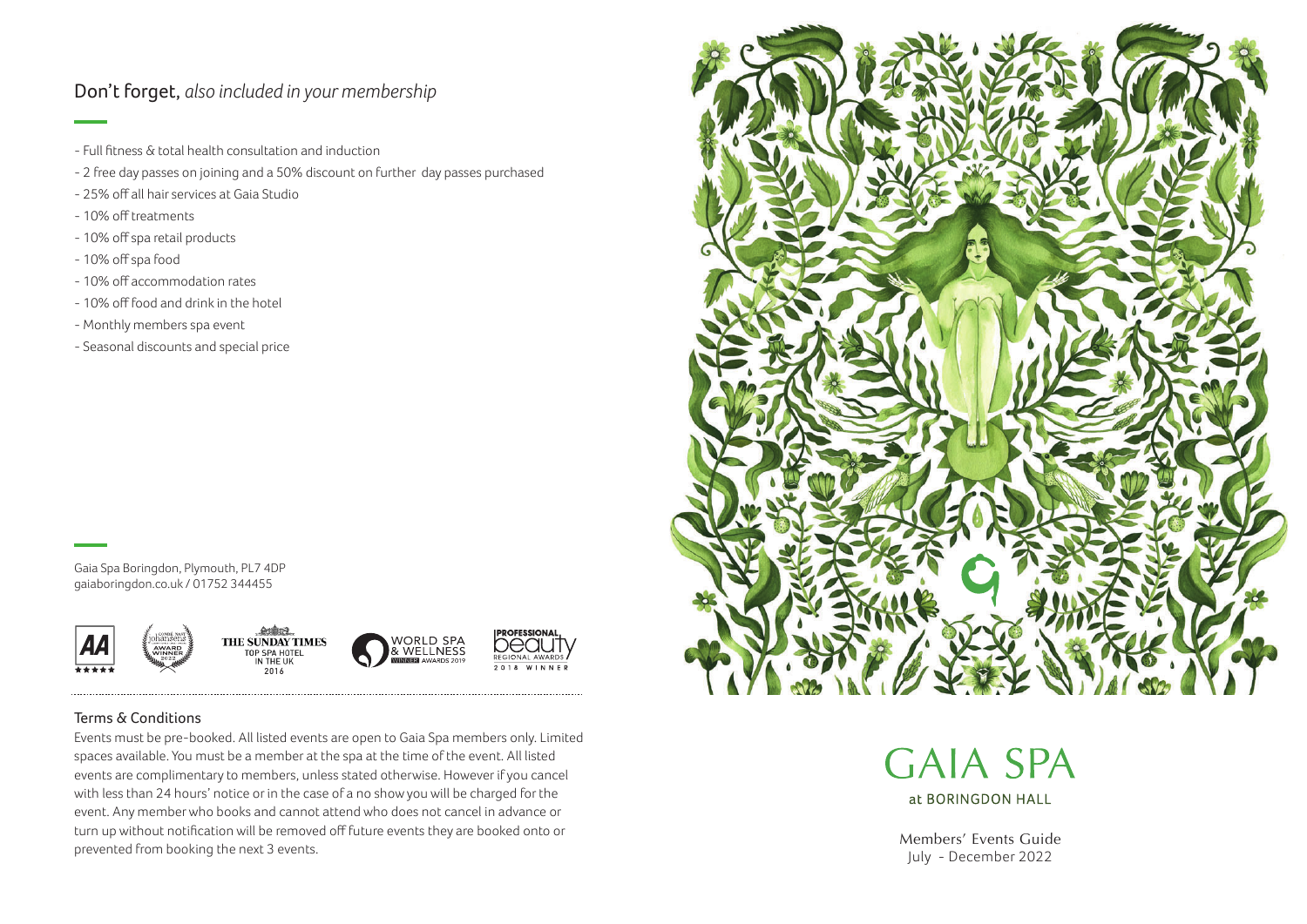## Don't forget, *also included in your membership*

- Full fitness & total health consultation and induction
- 2 free day passes on joining and a 50% discount on further day passes purchased
- 25% off all hair services at Gaia Studio
- 10% off treatments
- 10% off spa retail products
- 10% off spa food
- 10% off accommodation rates
- 10% off food and drink in the hotel
- Monthly members spa event
- Seasonal discounts and special price

Gaia Spa Boringdon, Plymouth, PL7 4DP gaiaboringdon.co.uk / 01752 344455







**ROFESSION**  $2.018$  WINNE

## Terms & Conditions

Events must be pre-booked. All listed events are open to Gaia Spa members only. Limited spaces available. You must be a member at the spa at the time of the event. All listed events are complimentary to members, unless stated otherwise. However if you cancel with less than 24 hours' notice or in the case of a no show you will be charged for the event. Any member who books and cannot attend who does not cancel in advance or turn up without notification will be removed off future events they are booked onto or prevented from booking the next 3 events.



**GAIA SPA** at BORINGDON HALL

Members' Events Guide July - December 2022